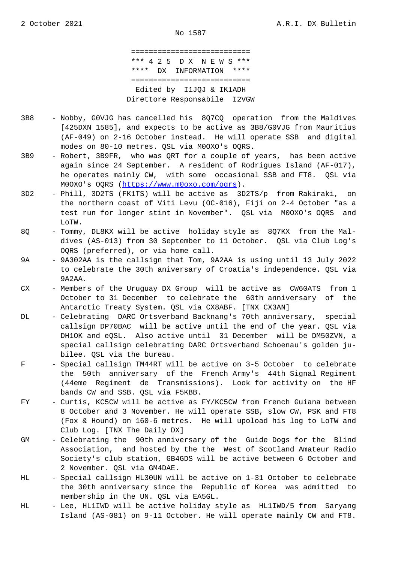=========================== \*\*\* 4 2 5 D X N E W S \*\*\* \*\*\*\* DX INFORMATION \*\*\*\* =========================== Edited by I1JQJ & IK1ADH Direttore Responsabile I2VGW

- 3B8 Nobby, G0VJG has cancelled his 8Q7CQ operation from the Maldives [425DXN 1585], and expects to be active as 3B8/G0VJG from Mauritius (AF-049) on 2-16 October instead. He will operate SSB and digital modes on 80-10 metres. QSL via M0OXO's OQRS.
- 3B9 Robert, 3B9FR, who was QRT for a couple of years, has been active again since 24 September. A resident of Rodrigues Island (AF-017), he operates mainly CW, with some occasional SSB and FT8. QSL via M0OXO's OQRS (https://www.m0oxo.com/oqrs).
- 3D2 Phill, 3D2TS (FK1TS) will be active as 3D2TS/p from Rakiraki, on the northern coast of Viti Levu (OC-016), Fiji on 2-4 October "as a test run for l[onger stint in November".](https://www.m0oxo.com/oqrs) QSL via M0OXO's OQRS and LoTW.
- 8Q Tommy, DL8KX will be active holiday style as 8Q7KX from the Mal dives (AS-013) from 30 September to 11 October. QSL via Club Log's OQRS (preferred), or via home call.
- 9A 9A302AA is the callsign that Tom, 9A2AA is using until 13 July 2022 to celebrate the 30th aniversary of Croatia's independence. QSL via 9A2AA.
- CX Members of the Uruguay DX Group will be active as CW60ATS from 1 October to 31 December to celebrate the 60th anniversary of the Antarctic Treaty System. QSL via CX8ABF. [TNX CX3AN]
- DL Celebrating DARC Ortsverband Backnang's 70th anniversary, special callsign DP70BAC will be active until the end of the year. QSL via DH1OK and eQSL. Also active until 31 December will be DM50ZVN, a special callsign celebrating DARC Ortsverband Schoenau's golden ju bilee. QSL via the bureau.
- F Special callsign TM44RT will be active on 3-5 October to celebrate the 50th anniversary of the French Army's 44th Signal Regiment (44eme Regiment de Transmissions). Look for activity on the HF bands CW and SSB. QSL via F5KBB.
- FY Curtis, KC5CW will be active as FY/KC5CW from French Guiana between 8 October and 3 November. He will operate SSB, slow CW, PSK and FT8 (Fox & Hound) on 160-6 metres. He will upoload his log to LoTW and Club Log. [TNX The Daily DX]
- GM Celebrating the 90th anniversary of the Guide Dogs for the Blind Association, and hosted by the the West of Scotland Amateur Radio Society's club station, GB4GDS will be active between 6 October and 2 November. QSL via GM4DAE.
- HL Special callsign HL30UN will be active on 1-31 October to celebrate the 30th anniversary since the Republic of Korea was admitted to membership in the UN. QSL via EA5GL.
- HL Lee, HL1IWD will be active holiday style as HL1IWD/5 from Saryang Island (AS-081) on 9-11 October. He will operate mainly CW and FT8.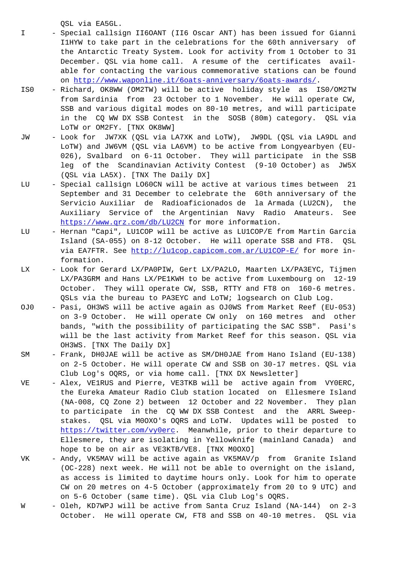- I Special callsign II6OANT (II6 Oscar ANT) has been issued for Gianni I1HYW to take part in the celebrations for the 60th anniversary of the Antarctic Treaty System. Look for activity from 1 October to 31 December. QSL via home call. A resume of the certificates avail able for contacting the various commemorative stations can be found on http://www.waponline.it/6oats-anniversary/6oats-awards/.
- IS0 Richard, OK8WW (OM2TW) will be active holiday style as IS0/OM2TW from Sardinia from 23 October to 1 November. He will operate CW, SS[B and various digital modes on 80-10 metres, and will pa](http://www.waponline.it/6oats-anniversary/6oats-awards/)rticipate in the CQ WW DX SSB Contest in the SOSB (80m) category. QSL via LoTW or OM2FY. [TNX OK8WW]
- JW Look for JW7XK (QSL via LA7XK and LoTW), JW9DL (QSL via LA9DL and LoTW) and JW6VM (QSL via LA6VM) to be active from Longyearbyen (EU- 026), Svalbard on 6-11 October. They will participate in the SSB leg of the Scandinavian Activity Contest (9-10 October) as JW5X (QSL via LA5X). [TNX The Daily DX]
- LU Special callsign LO60CN will be active at various times between 21 September and 31 December to celebrate the 60th anniversary of the Servicio Auxiliar de Radioaficionados de la Armada (LU2CN), the Auxiliary Service of the Argentinian Navy Radio Amateurs. See https://www.qrz.com/db/LU2CN for more information.
- LU Hernan "Capi", LU1COP will be active as LU1COP/E from Martin Garcia Island (SA-055) on 8-12 October. He will operate SSB and FT8. QSL via EA7FTR. See http://lulcop.capicom.com.ar/LU1COP-E/ for more information.
- LX Look for Gerard LX/PA0PIW, Gert LX/PA2LO, Maarten LX/PA3EYC, Tijmen LX/PA3GRM and H[ans LX/PE1KWH to be active from Luxembou](http://lu1cop.capicom.com.ar/LU1COP-E/)rg on 12-19 October. They will operate CW, SSB, RTTY and FT8 on 160-6 metres. QSLs via the bureau to PA3EYC and LoTW; logsearch on Club Log.
- OJ0 Pasi, OH3WS will be active again as OJ0WS from Market Reef (EU-053) on 3-9 October. He will operate CW only on 160 metres and other bands, "with the possibility of participating the SAC SSB". Pasi's will be the last activity from Market Reef for this season. QSL via OH3WS. [TNX The Daily DX]
- SM Frank, DH0JAE will be active as SM/DH0JAE from Hano Island (EU-138) on 2-5 October. He will operate CW and SSB on 30-17 metres. QSL via Club Log's OQRS, or via home call. [TNX DX Newsletter]
- VE Alex, VE1RUS and Pierre, VE3TKB will be active again from VY0ERC, the Eureka Amateur Radio Club station located on Ellesmere Island (NA-008, CQ Zone 2) between 12 October and 22 November. They plan to participate in the CQ WW DX SSB Contest and the ARRL Sweep stakes. QSL via M0OXO's OQRS and LoTW. Updates will be posted to https://twitter.com/vy0erc. Meanwhile, prior to their departure to Ellesmere, they are isolating in Yellowknife (mainland Canada) and hope to be on air as VE3KTB/VE8. [TNX M0OXO]
- VK [Andy, VK5MAV will be activ](https://twitter.com/vy0erc)e again as VK5MAV/p from Granite Island (OC-228) next week. He will not be able to overnight on the island, as access is limited to daytime hours only. Look for him to operate CW on 20 metres on 4-5 October (approximately from 20 to 9 UTC) and on 5-6 October (same time). QSL via Club Log's OQRS.
- W Oleh, KD7WPJ will be active from Santa Cruz Island (NA-144) on 2-3 October. He will operate CW, FT8 and SSB on 40-10 metres. QSL via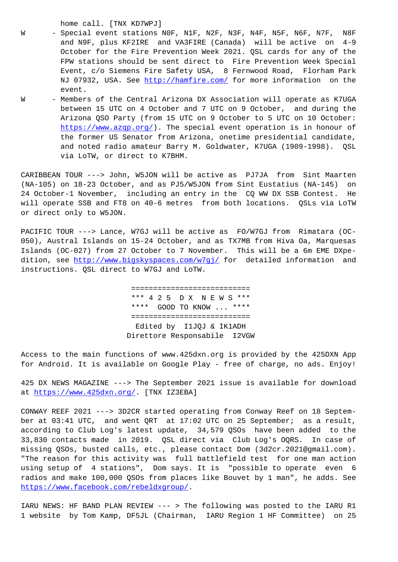- Special event stations NOF, NIF, N2F, N3F, N4F, N3F, N0F, N7F, N6F and N9F, plus KF2IRE and VA3FIRE (Canada) will be active on 4-9 October for the Fire Prevention Week 2021. QSL cards for any of the FPW stations should be sent direct to Fire Prevention Week Special Event, c/o Siemens Fire Safety USA, 8 Fernwood Road, Florham Park NJ 07932, USA. See http://hamfire.com/ for more information on the event.
- W Members of the Central Arizona DX Association will operate as K7UGA between 15 UTC on 4 [October and 7 UTC](http://hamfire.com/) on 9 October, and during the Arizona QSO Party (from 15 UTC on 9 October to 5 UTC on 10 October: https://www.azqp.org/). The special event operation is in honour of the former US Senator from Arizona, onetime presidential candidate, and noted radio amateur Barry M. Goldwater, K7UGA (1909-1998). QSL [via LoTW, or direct t](https://www.azqp.org/)o K7BHM.

CARIBBEAN TOUR ---> John, W5JON will be active as PJ7JA from Sint Maarten (NA-105) on 18-23 October, and as PJ5/W5JON from Sint Eustatius (NA-145) on 24 October-1 November, including an entry in the CQ WW DX SSB Contest. He will operate SSB and FT8 on 40-6 metres from both locations. QSLs via LoTW or direct only to W5JON.

PACIFIC TOUR ---> Lance, W7GJ will be active as FO/W7GJ from Rimatara (OC-050), Austral Islands on 15-24 October, and as TX7MB from Hiva Oa, Marquesas Islands (OC-027) from 27 October to 7 November. This will be a 6m EME DXpedition, see http://www.bigskyspaces.com/w7gj/ for detailed information and instructions. QSL direct to W7GJ and LoTW.

> [====================](http://www.bigskyspaces.com/w7gj/)======= \*\*\* 4 2 5 D X N E W S \*\*\* \*\*\*\* GOOD TO KNOW ... \*\*\*\* =========================== Edited by I1JQJ & IK1ADH Direttore Responsabile I2VGW

Access to the main functions of www.425dxn.org is provided by the 425DXN App for Android. It is available on Google Play - free of charge, no ads. Enjoy!

425 DX NEWS MAGAZINE ---> The September 2021 issue is available for download at https://www.425dxn.org/. [TNX IZ3EBA]

CONWAY REEF 2021 ---> 3D2CR started operating from Conway Reef on 18 September at 03:41 UTC, and went QRT at 17:02 UTC on 25 September; as a result, acc[ording to Club Log's lat](https://www.425dxn.org/)est update, 34,579 QSOs have been added to the 33,830 contacts made in 2019. QSL direct via Club Log's OQRS. In case of missing QSOs, busted calls, etc., please contact Dom (3d2cr.2021@gmail.com). "The reason for this activity was full battlefield test for one man action using setup of 4 stations", Dom says. It is "possible to operate even 6 radios and make 100,000 QSOs from places like Bouvet by 1 man", he adds. See https://www.facebook.com/rebeldxgroup/.

IARU NEWS: HF BAND PLAN REVIEW --- > The following was posted to the IARU R1 [1 website by Tom Kamp, DF5JL \(Chairman](https://www.facebook.com/rebeldxgroup/), IARU Region 1 HF Committee) on 25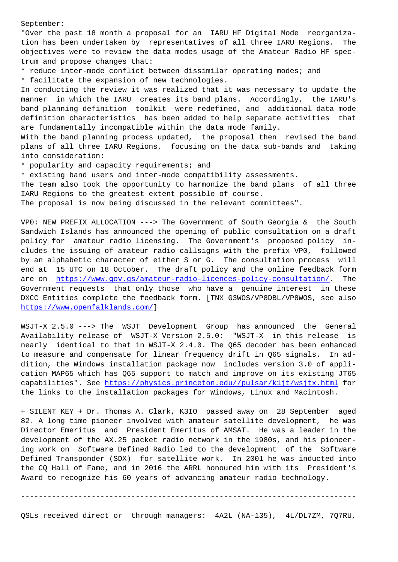"Over the past 18 month a proposal for an IARU HF Digital Mode reorganization has been undertaken by representatives of all three IARU Regions. The objectives were to review the data modes usage of the Amateur Radio HF spectrum and propose changes that:

\* reduce inter-mode conflict between dissimilar operating modes; and

\* facilitate the expansion of new technologies.

In conducting the review it was realized that it was necessary to update the manner in which the IARU creates its band plans. Accordingly, the IARU's band planning definition toolkit were redefined, and additional data mode definition characteristics has been added to help separate activities that are fundamentally incompatible within the data mode family.

With the band planning process updated, the proposal then revised the band plans of all three IARU Regions, focusing on the data sub-bands and taking into consideration:

\* popularity and capacity requirements; and

\* existing band users and inter-mode compatibility assessments.

The team also took the opportunity to harmonize the band plans of all three IARU Regions to the greatest extent possible of course.

The proposal is now being discussed in the relevant committees".

VP0: NEW PREFIX ALLOCATION ---> The Government of South Georgia & the South Sandwich Islands has announced the opening of public consultation on a draft policy for amateur radio licensing. The Government's proposed policy includes the issuing of amateur radio callsigns with the prefix VP0, followed by an alphabetic character of either S or G. The consultation process will end at 15 UTC on 18 October. The draft policy and the online feedback form are on https://www.gov.gs/amateur-radio-licences-policy-consultation/. The Government requests that only those who have a genuine interest in these DXCC Entities complete the feedback form. [TNX G3WOS/VP8DBL/VP8WOS, see also https://[www.openfalklands.com/\]](https://www.gov.gs/amateur-radio-licences-policy-consultation/)

WSJT-X 2.5.0 ---> The WSJT Development Group has announced the General [Availability release of WSJT-](https://www.openfalklands.com/)X Version 2.5.0: "WSJT-X in this release is nearly identical to that in WSJT-X 2.4.0. The Q65 decoder has been enhanced to measure and compensate for linear frequency drift in Q65 signals. In addition, the Windows installation package now includes version 3.0 of application MAP65 which has Q65 support to match and improve on its existing JT65 capabilities". See https://physics.princeton.edu//pulsar/k1jt/wsjtx.html for the links to the installation packages for Windows, Linux and Macintosh.

+ SILENT KEY + Dr. Thomas A. Clark, K3IO passed away on 28 September aged 82. A long time pio[neer involved with amateur satellite development, he](https://physics.princeton.edu//pulsar/k1jt/wsjtx.html) was Director Emeritus and President Emeritus of AMSAT. He was a leader in the development of the AX.25 packet radio network in the 1980s, and his pioneering work on Software Defined Radio led to the development of the Software Defined Transponder (SDX) for satellite work. In 2001 he was inducted into the CQ Hall of Fame, and in 2016 the ARRL honoured him with its President's Award to recognize his 60 years of advancing amateur radio technology.

----------------------------------------------------------------------------

QSLs received direct or through managers: 4A2L (NA-135), 4L/DL7ZM, 7Q7RU,